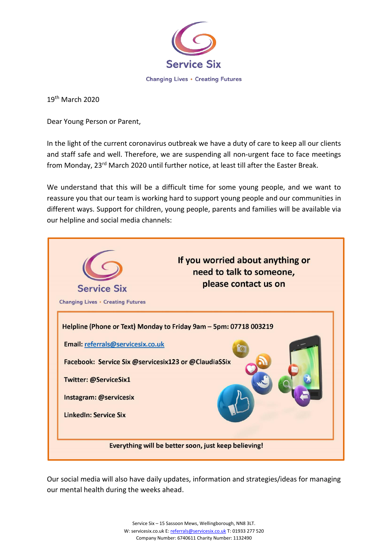

19th March 2020

Dear Young Person or Parent,

In the light of the current coronavirus outbreak we have a duty of care to keep all our clients and staff safe and well. Therefore, we are suspending all non-urgent face to face meetings from Monday, 23<sup>rd</sup> March 2020 until further notice, at least till after the Easter Break.

We understand that this will be a difficult time for some young people, and we want to reassure you that our team is working hard to support young people and our communities in different ways. Support for children, young people, parents and families will be available via our helpline and social media channels:



Our social media will also have daily updates, information and strategies/ideas for managing our mental health during the weeks ahead.